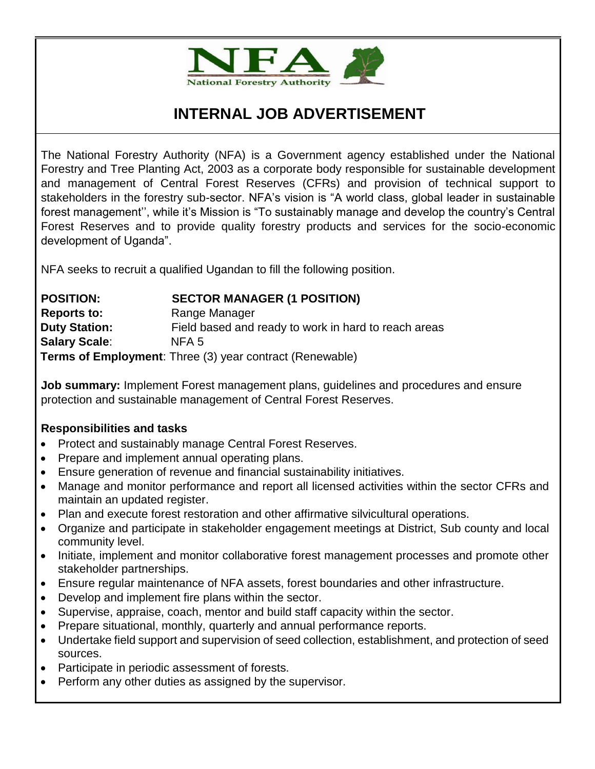

# **INTERNAL JOB ADVERTISEMENT**

The National Forestry Authority (NFA) is a Government agency established under the National Forestry and Tree Planting Act, 2003 as a corporate body responsible for sustainable development and management of Central Forest Reserves (CFRs) and provision of technical support to stakeholders in the forestry sub-sector. NFA's vision is "A world class, global leader in sustainable forest management'', while it's Mission is "To sustainably manage and develop the country's Central Forest Reserves and to provide quality forestry products and services for the socio-economic development of Uganda".

NFA seeks to recruit a qualified Ugandan to fill the following position.

## **POSITION: SECTOR MANAGER (1 POSITION) Reports to:** Range Manager **Duty Station:** Field based and ready to work in hard to reach areas **Salary Scale**: NFA 5 **Terms of Employment**: Three (3) year contract (Renewable)

**Job summary:** Implement Forest management plans, guidelines and procedures and ensure protection and sustainable management of Central Forest Reserves.

## **Responsibilities and tasks**

- Protect and sustainably manage Central Forest Reserves.
- Prepare and implement annual operating plans.
- Ensure generation of revenue and financial sustainability initiatives.
- Manage and monitor performance and report all licensed activities within the sector CFRs and maintain an updated register.
- Plan and execute forest restoration and other affirmative silvicultural operations.
- Organize and participate in stakeholder engagement meetings at District, Sub county and local community level.
- Initiate, implement and monitor collaborative forest management processes and promote other stakeholder partnerships.
- Ensure regular maintenance of NFA assets, forest boundaries and other infrastructure.
- Develop and implement fire plans within the sector.
- Supervise, appraise, coach, mentor and build staff capacity within the sector.
- Prepare situational, monthly, quarterly and annual performance reports.
- Undertake field support and supervision of seed collection, establishment, and protection of seed sources.
- Participate in periodic assessment of forests.
- Perform any other duties as assigned by the supervisor.